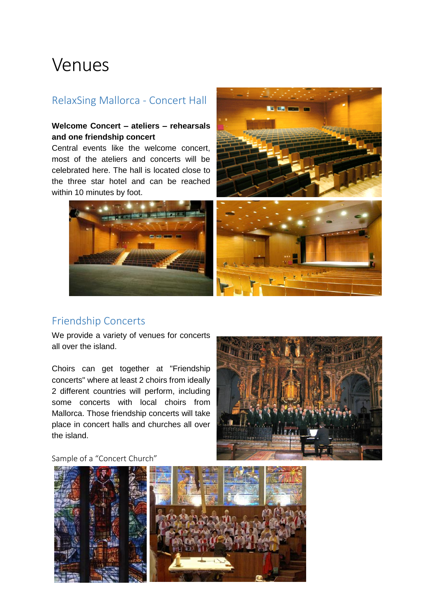# Venues

### RelaxSing Mallorca - Concert Hall

#### **Welcome Concert – ateliers – rehearsals and one friendship concert**

Central events like the welcome concert, most of the ateliers and concerts will be celebrated here. The hall is located close to the three star hotel and can be reached within 10 minutes by foot.



### Friendship Concerts

We provide a variety of venues for concerts all over the island.

Choirs can get together at "Friendship concerts" where at least 2 choirs from ideally 2 different countries will perform, including some concerts with local choirs from Mallorca. Those friendship concerts will take place in concert halls and churches all over the island.



Sample of a "Concert Church"